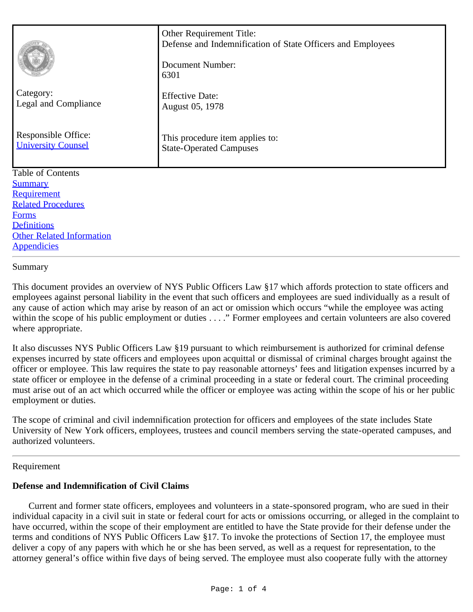| Category:<br>Legal and Compliance<br>Responsible Office:<br><b>University Counsel</b> | Other Requirement Title:<br>Defense and Indemnification of State Officers and Employees<br>Document Number:<br>6301<br><b>Effective Date:</b><br>August 05, 1978<br>This procedure item applies to:<br><b>State-Operated Campuses</b> |
|---------------------------------------------------------------------------------------|---------------------------------------------------------------------------------------------------------------------------------------------------------------------------------------------------------------------------------------|
| <b>Table of Contents</b>                                                              |                                                                                                                                                                                                                                       |
| <b>Summary</b><br>Requirement                                                         |                                                                                                                                                                                                                                       |
| <b>Related Procedures</b>                                                             |                                                                                                                                                                                                                                       |
| <b>Forms</b>                                                                          |                                                                                                                                                                                                                                       |
| <b>Definitions</b>                                                                    |                                                                                                                                                                                                                                       |
| <b>Other Related Information</b>                                                      |                                                                                                                                                                                                                                       |
| <b>Appendicies</b>                                                                    |                                                                                                                                                                                                                                       |

### Summary

This document provides an overview of NYS Public Officers Law §17 which affords protection to state officers and employees against personal liability in the event that such officers and employees are sued individually as a result of any cause of action which may arise by reason of an act or omission which occurs "while the employee was acting within the scope of his public employment or duties . . . ." Former employees and certain volunteers are also covered where appropriate.

It also discusses NYS Public Officers Law §19 pursuant to which reimbursement is authorized for criminal defense expenses incurred by state officers and employees upon acquittal or dismissal of criminal charges brought against the officer or employee. This law requires the state to pay reasonable attorneys' fees and litigation expenses incurred by a state officer or employee in the defense of a criminal proceeding in a state or federal court. The criminal proceeding must arise out of an act which occurred while the officer or employee was acting within the scope of his or her public employment or duties.

The scope of criminal and civil indemnification protection for officers and employees of the state includes State University of New York officers, employees, trustees and council members serving the state-operated campuses, and authorized volunteers.

### Requirement

### **Defense and Indemnification of Civil Claims**

 Current and former state officers, employees and volunteers in a state-sponsored program, who are sued in their individual capacity in a civil suit in state or federal court for acts or omissions occurring, or alleged in the complaint to have occurred, within the scope of their employment are entitled to have the State provide for their defense under the terms and conditions of NYS Public Officers Law §17. To invoke the protections of Section 17, the employee must deliver a copy of any papers with which he or she has been served, as well as a request for representation, to the attorney general's office within five days of being served. The employee must also cooperate fully with the attorney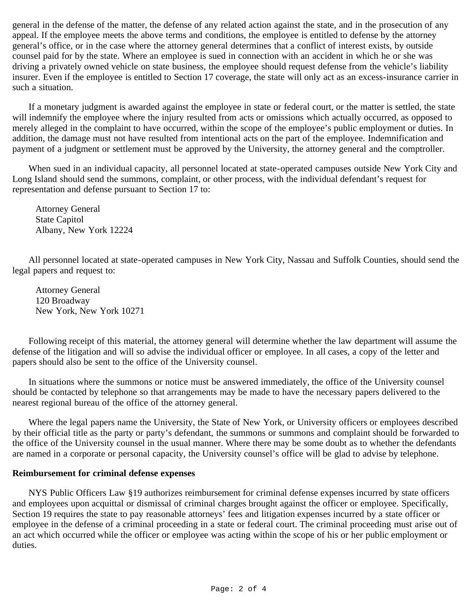general in the defense of the matter, the defense of any related action against the state, and in the prosecution of any appeal. If the employee meets the above terms and conditions, the employee is entitled to defense by the attorney general's office, or in the case where the attorney general determines that a conflict of interest exists, by outside counsel paid for by the state. Where an employee is sued in connection with an accident in which he or she was driving a privately owned vehicle on state business, the employee should request defense from the vehicle's liability insurer. Even if the employee is entitled to Section 17 coverage, the state will only act as an excess-insurance carrier in such a situation.

 If a monetary judgment is awarded against the employee in state or federal court, or the matter is settled, the state will indemnify the employee where the injury resulted from acts or omissions which actually occurred, as opposed to merely alleged in the complaint to have occurred, within the scope of the employee's public employment or duties. In addition, the damage must not have resulted from intentional acts on the part of the employee. Indemnification and payment of a judgment or settlement must be approved by the University, the attorney general and the comptroller.

 When sued in an individual capacity, all personnel located at state-operated campuses outside New York City and Long Island should send the summons, complaint, or other process, with the individual defendant's request for representation and defense pursuant to Section 17 to:

Attorney General State Capitol Albany, New York 12224

 All personnel located at state-operated campuses in New York City, Nassau and Suffolk Counties, should send the legal papers and request to:

Attorney General 120 Broadway New York, New York 10271

 Following receipt of this material, the attorney general will determine whether the law department will assume the defense of the litigation and will so advise the individual officer or employee. In all cases, a copy of the letter and papers should also be sent to the office of the University counsel.

 In situations where the summons or notice must be answered immediately, the office of the University counsel should be contacted by telephone so that arrangements may be made to have the necessary papers delivered to the nearest regional bureau of the office of the attorney general.

 Where the legal papers name the University, the State of New York, or University officers or employees described by their official title as the party or party's defendant, the summons or summons and complaint should be forwarded to the office of the University counsel in the usual manner. Where there may be some doubt as to whether the defendants are named in a corporate or personal capacity, the University counsel's office will be glad to advise by telephone.

# **Reimbursement for criminal defense expenses**

 NYS Public Officers Law §19 authorizes reimbursement for criminal defense expenses incurred by state officers and employees upon acquittal or dismissal of criminal charges brought against the officer or employee. Specifically, Section 19 requires the state to pay reasonable attorneys' fees and litigation expenses incurred by a state officer or employee in the defense of a criminal proceeding in a state or federal court. The criminal proceeding must arise out of an act which occurred while the officer or employee was acting within the scope of his or her public employment or duties.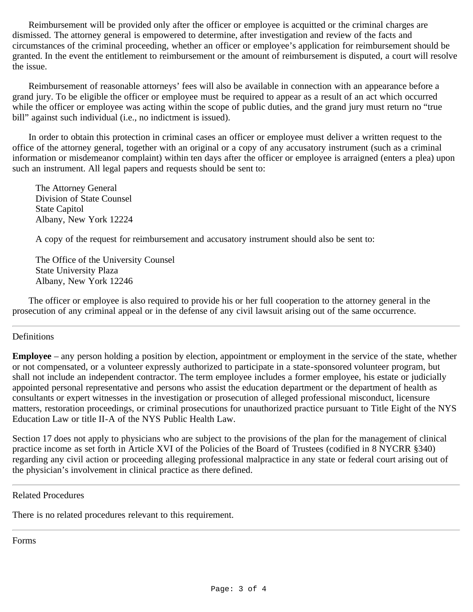Reimbursement will be provided only after the officer or employee is acquitted or the criminal charges are dismissed. The attorney general is empowered to determine, after investigation and review of the facts and circumstances of the criminal proceeding, whether an officer or employee's application for reimbursement should be granted. In the event the entitlement to reimbursement or the amount of reimbursement is disputed, a court will resolve the issue.

 Reimbursement of reasonable attorneys' fees will also be available in connection with an appearance before a grand jury. To be eligible the officer or employee must be required to appear as a result of an act which occurred while the officer or employee was acting within the scope of public duties, and the grand jury must return no "true" bill" against such individual (i.e., no indictment is issued).

 In order to obtain this protection in criminal cases an officer or employee must deliver a written request to the office of the attorney general, together with an original or a copy of any accusatory instrument (such as a criminal information or misdemeanor complaint) within ten days after the officer or employee is arraigned (enters a plea) upon such an instrument. All legal papers and requests should be sent to:

The Attorney General Division of State Counsel State Capitol Albany, New York 12224

A copy of the request for reimbursement and accusatory instrument should also be sent to:

The Office of the University Counsel State University Plaza Albany, New York 12246

 The officer or employee is also required to provide his or her full cooperation to the attorney general in the prosecution of any criminal appeal or in the defense of any civil lawsuit arising out of the same occurrence.

# <span id="page-2-0"></span>Definitions

**Employee** – any person holding a position by election, appointment or employment in the service of the state, whether or not compensated, or a volunteer expressly authorized to participate in a state-sponsored volunteer program, but shall not include an independent contractor. The term employee includes a former employee, his estate or judicially appointed personal representative and persons who assist the education department or the department of health as consultants or expert witnesses in the investigation or prosecution of alleged professional misconduct, licensure matters, restoration proceedings, or criminal prosecutions for unauthorized practice pursuant to Title Eight of the NYS Education Law or title II-A of the NYS Public Health Law.

Section 17 does not apply to physicians who are subject to the provisions of the plan for the management of clinical practice income as set forth in Article XVI of the Policies of the Board of Trustees (codified in 8 NYCRR §340) regarding any civil action or proceeding alleging professional malpractice in any state or federal court arising out of the physician's involvement in clinical practice as there defined.

<span id="page-2-1"></span>Related Procedures

There is no related procedures relevant to this requirement.

<span id="page-2-2"></span>Forms